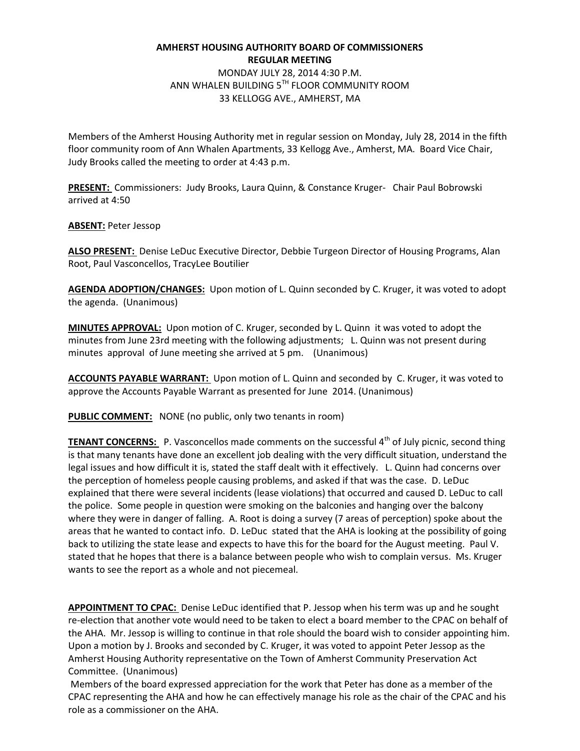## **AMHERST HOUSING AUTHORITY BOARD OF COMMISSIONERS REGULAR MEETING**

MONDAY JULY 28, 2014 4:30 P.M. ANN WHALEN BUILDING 5TH FLOOR COMMUNITY ROOM 33 KELLOGG AVE., AMHERST, MA

Members of the Amherst Housing Authority met in regular session on Monday, July 28, 2014 in the fifth floor community room of Ann Whalen Apartments, 33 Kellogg Ave., Amherst, MA. Board Vice Chair, Judy Brooks called the meeting to order at 4:43 p.m.

**PRESENT:** Commissioners: Judy Brooks, Laura Quinn, & Constance Kruger- Chair Paul Bobrowski arrived at 4:50

**ABSENT:** Peter Jessop

**ALSO PRESENT:** Denise LeDuc Executive Director, Debbie Turgeon Director of Housing Programs, Alan Root, Paul Vasconcellos, TracyLee Boutilier

**AGENDA ADOPTION/CHANGES:** Upon motion of L. Quinn seconded by C. Kruger, it was voted to adopt the agenda. (Unanimous)

**MINUTES APPROVAL:** Upon motion of C. Kruger, seconded by L. Quinn it was voted to adopt the minutes from June 23rd meeting with the following adjustments; L. Quinn was not present during minutes approval of June meeting she arrived at 5 pm. (Unanimous)

**ACCOUNTS PAYABLE WARRANT:** Upon motion of L. Quinn and seconded by C. Kruger, it was voted to approve the Accounts Payable Warrant as presented for June 2014. (Unanimous)

**PUBLIC COMMENT:** NONE (no public, only two tenants in room)

**TENANT CONCERNS:** P. Vasconcellos made comments on the successful 4<sup>th</sup> of July picnic, second thing is that many tenants have done an excellent job dealing with the very difficult situation, understand the legal issues and how difficult it is, stated the staff dealt with it effectively. L. Quinn had concerns over the perception of homeless people causing problems, and asked if that was the case. D. LeDuc explained that there were several incidents (lease violations) that occurred and caused D. LeDuc to call the police. Some people in question were smoking on the balconies and hanging over the balcony where they were in danger of falling. A. Root is doing a survey (7 areas of perception) spoke about the areas that he wanted to contact info. D. LeDuc stated that the AHA is looking at the possibility of going back to utilizing the state lease and expects to have this for the board for the August meeting. Paul V. stated that he hopes that there is a balance between people who wish to complain versus. Ms. Kruger wants to see the report as a whole and not piecemeal.

**APPOINTMENT TO CPAC:** Denise LeDuc identified that P. Jessop when his term was up and he sought re-election that another vote would need to be taken to elect a board member to the CPAC on behalf of the AHA. Mr. Jessop is willing to continue in that role should the board wish to consider appointing him. Upon a motion by J. Brooks and seconded by C. Kruger, it was voted to appoint Peter Jessop as the Amherst Housing Authority representative on the Town of Amherst Community Preservation Act Committee. (Unanimous)

Members of the board expressed appreciation for the work that Peter has done as a member of the CPAC representing the AHA and how he can effectively manage his role as the chair of the CPAC and his role as a commissioner on the AHA.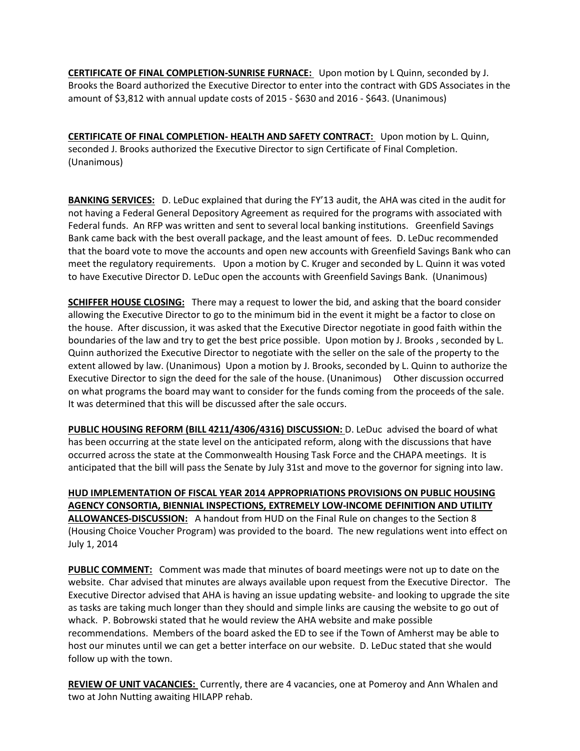**CERTIFICATE OF FINAL COMPLETION-SUNRISE FURNACE:** Upon motion by L Quinn, seconded by J. Brooks the Board authorized the Executive Director to enter into the contract with GDS Associates in the amount of \$3,812 with annual update costs of 2015 - \$630 and 2016 - \$643. (Unanimous)

**CERTIFICATE OF FINAL COMPLETION- HEALTH AND SAFETY CONTRACT:** Upon motion by L. Quinn, seconded J. Brooks authorized the Executive Director to sign Certificate of Final Completion. (Unanimous)

**BANKING SERVICES:** D. LeDuc explained that during the FY'13 audit, the AHA was cited in the audit for not having a Federal General Depository Agreement as required for the programs with associated with Federal funds. An RFP was written and sent to several local banking institutions. Greenfield Savings Bank came back with the best overall package, and the least amount of fees. D. LeDuc recommended that the board vote to move the accounts and open new accounts with Greenfield Savings Bank who can meet the regulatory requirements. Upon a motion by C. Kruger and seconded by L. Quinn it was voted to have Executive Director D. LeDuc open the accounts with Greenfield Savings Bank. (Unanimous)

**SCHIFFER HOUSE CLOSING:** There may a request to lower the bid, and asking that the board consider allowing the Executive Director to go to the minimum bid in the event it might be a factor to close on the house. After discussion, it was asked that the Executive Director negotiate in good faith within the boundaries of the law and try to get the best price possible. Upon motion by J. Brooks , seconded by L. Quinn authorized the Executive Director to negotiate with the seller on the sale of the property to the extent allowed by law. (Unanimous) Upon a motion by J. Brooks, seconded by L. Quinn to authorize the Executive Director to sign the deed for the sale of the house. (Unanimous) Other discussion occurred on what programs the board may want to consider for the funds coming from the proceeds of the sale. It was determined that this will be discussed after the sale occurs.

**PUBLIC HOUSING REFORM (BILL 4211/4306/4316) DISCUSSION:** D. LeDuc advised the board of what has been occurring at the state level on the anticipated reform, along with the discussions that have occurred across the state at the Commonwealth Housing Task Force and the CHAPA meetings. It is anticipated that the bill will pass the Senate by July 31st and move to the governor for signing into law.

**HUD IMPLEMENTATION OF FISCAL YEAR 2014 APPROPRIATIONS PROVISIONS ON PUBLIC HOUSING AGENCY CONSORTIA, BIENNIAL INSPECTIONS, EXTREMELY LOW-INCOME DEFINITION AND UTILITY ALLOWANCES-DISCUSSION:** A handout from HUD on the Final Rule on changes to the Section 8 (Housing Choice Voucher Program) was provided to the board. The new regulations went into effect on July 1, 2014

**PUBLIC COMMENT:** Comment was made that minutes of board meetings were not up to date on the website. Char advised that minutes are always available upon request from the Executive Director. The Executive Director advised that AHA is having an issue updating website- and looking to upgrade the site as tasks are taking much longer than they should and simple links are causing the website to go out of whack. P. Bobrowski stated that he would review the AHA website and make possible recommendations. Members of the board asked the ED to see if the Town of Amherst may be able to host our minutes until we can get a better interface on our website. D. LeDuc stated that she would follow up with the town.

**REVIEW OF UNIT VACANCIES:** Currently, there are 4 vacancies, one at Pomeroy and Ann Whalen and two at John Nutting awaiting HILAPP rehab.